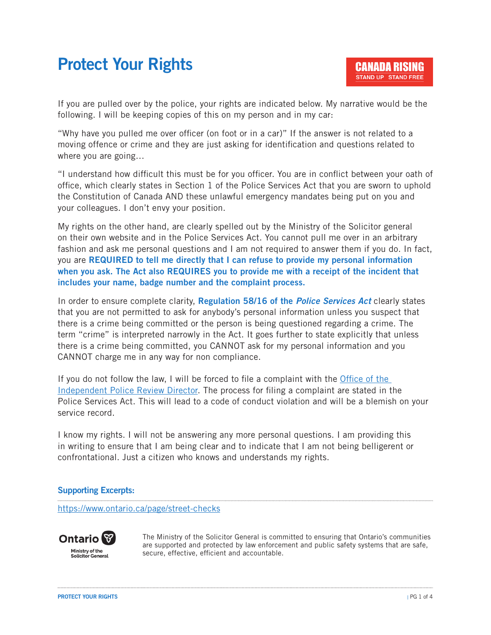# Protect Your Rights

If you are pulled over by the police, your rights are indicated below. My narrative would be the following. I will be keeping copies of this on my person and in my car:

"Why have you pulled me over officer (on foot or in a car)" If the answer is not related to a moving offence or crime and they are just asking for identification and questions related to where you are going…

"I understand how difficult this must be for you officer. You are in conflict between your oath of office, which clearly states in Section 1 of the Police Services Act that you are sworn to uphold the Constitution of Canada AND these unlawful emergency mandates being put on you and your colleagues. I don't envy your position.

My rights on the other hand, are clearly spelled out by the Ministry of the Solicitor general on their own website and in the Police Services Act. You cannot pull me over in an arbitrary fashion and ask me personal questions and I am not required to answer them if you do. In fact, you are REQUIRED to tell me directly that I can refuse to provide my personal information when you ask. The Act also REQUIRES you to provide me with a receipt of the incident that includes your name, badge number and the complaint process.

In order to ensure complete clarity, Regulation 58/16 of the *Police Services Act* clearly states that you are not permitted to ask for anybody's personal information unless you suspect that there is a crime being committed or the person is being questioned regarding a crime. The term "crime" is interpreted narrowly in the Act. It goes further to state explicitly that unless there is a crime being committed, you CANNOT ask for my personal information and you CANNOT charge me in any way for non compliance.

If you do not follow the law, I will be forced to file a complaint with the Office of the Independent Police Review Director. The process for filing a complaint are stated in the Police Services Act. This will lead to a code of conduct violation and will be a blemish on your service record.

I know my rights. I will not be answering any more personal questions. I am providing this in writing to ensure that I am being clear and to indicate that I am not being belligerent or confrontational. Just a citizen who knows and understands my rights.

# Supporting Excerpts:

https://www.ontario.ca/page/street-checks



**Solicitor General** 

The Ministry of the Solicitor General is committed to ensuring that Ontario's communities are supported and protected by law enforcement and public safety systems that are safe, secure, effective, efficient and accountable.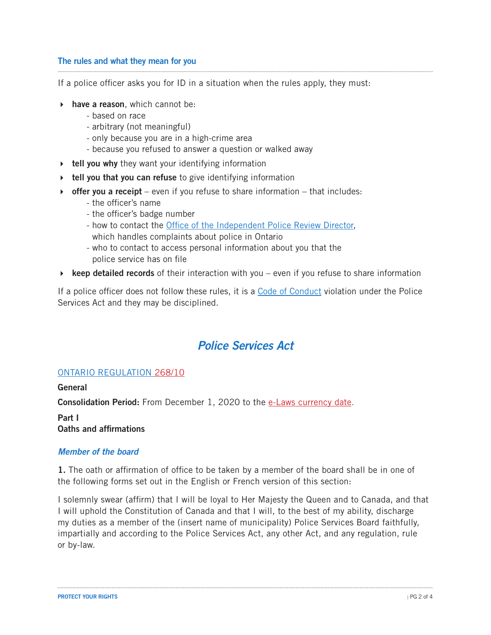#### The rules and what they mean for you

If a police officer asks you for ID in a situation when the rules apply, they must:

- $\triangleright$  have a reason, which cannot be:
	- based on race
	- arbitrary (not meaningful)
	- only because you are in a high-crime area
	- because you refused to answer a question or walked away
- $\rightarrow$  tell you why they want your identifying information
- $\rightarrow$  tell you that you can refuse to give identifying information
- $\rightarrow$  offer you a receipt even if you refuse to share information that includes:
	- the officer's name
	- the officer's badge number
	- how to contact the Office of the Independent Police Review Director, which handles complaints about police in Ontario
	- who to contact to access personal information about you that the police service has on file
- $\rightarrow$  keep detailed records of their interaction with you even if you refuse to share information

If a police officer does not follow these rules, it is a Code of Conduct violation under the Police Services Act and they may be disciplined.

# *Police Services Act*

#### ONTARIO REGULATION 268/10

#### General

Consolidation Period: From December 1, 2020 to the e-Laws currency date.

Part I Oaths and affirmations

#### *Member of the board*

1. The oath or affirmation of office to be taken by a member of the board shall be in one of the following forms set out in the English or French version of this section:

I solemnly swear (affirm) that I will be loyal to Her Majesty the Queen and to Canada, and that I will uphold the Constitution of Canada and that I will, to the best of my ability, discharge my duties as a member of the (insert name of municipality) Police Services Board faithfully, impartially and according to the Police Services Act, any other Act, and any regulation, rule or by-law.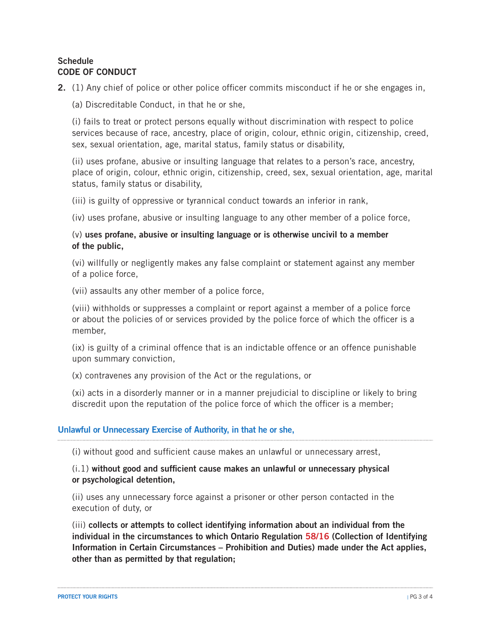#### **Schedule** CODE OF CONDUCT

2. (1) Any chief of police or other police officer commits misconduct if he or she engages in,

(a) Discreditable Conduct, in that he or she,

 (i) fails to treat or protect persons equally without discrimination with respect to police services because of race, ancestry, place of origin, colour, ethnic origin, citizenship, creed, sex, sexual orientation, age, marital status, family status or disability,

 (ii) uses profane, abusive or insulting language that relates to a person's race, ancestry, place of origin, colour, ethnic origin, citizenship, creed, sex, sexual orientation, age, marital status, family status or disability,

(iii) is guilty of oppressive or tyrannical conduct towards an inferior in rank,

(iv) uses profane, abusive or insulting language to any other member of a police force,

# (v) uses profane, abusive or insulting language or is otherwise uncivil to a member of the public,

 (vi) willfully or negligently makes any false complaint or statement against any member of a police force,

(vii) assaults any other member of a police force,

 (viii) withholds or suppresses a complaint or report against a member of a police force or about the policies of or services provided by the police force of which the officer is a member,

 (ix) is guilty of a criminal offence that is an indictable offence or an offence punishable upon summary conviction,

(x) contravenes any provision of the Act or the regulations, or

 (xi) acts in a disorderly manner or in a manner prejudicial to discipline or likely to bring discredit upon the reputation of the police force of which the officer is a member;

## Unlawful or Unnecessary Exercise of Authority, in that he or she,

(i) without good and sufficient cause makes an unlawful or unnecessary arrest,

## $(i.1)$  without good and sufficient cause makes an unlawful or unnecessary physical or psychological detention,

 (ii) uses any unnecessary force against a prisoner or other person contacted in the execution of duty, or

 (iii) collects or attempts to collect identifying information about an individual from the individual in the circumstances to which Ontario Regulation 58/16 (Collection of Identifying Information in Certain Circumstances – Prohibition and Duties) made under the Act applies, other than as permitted by that regulation;